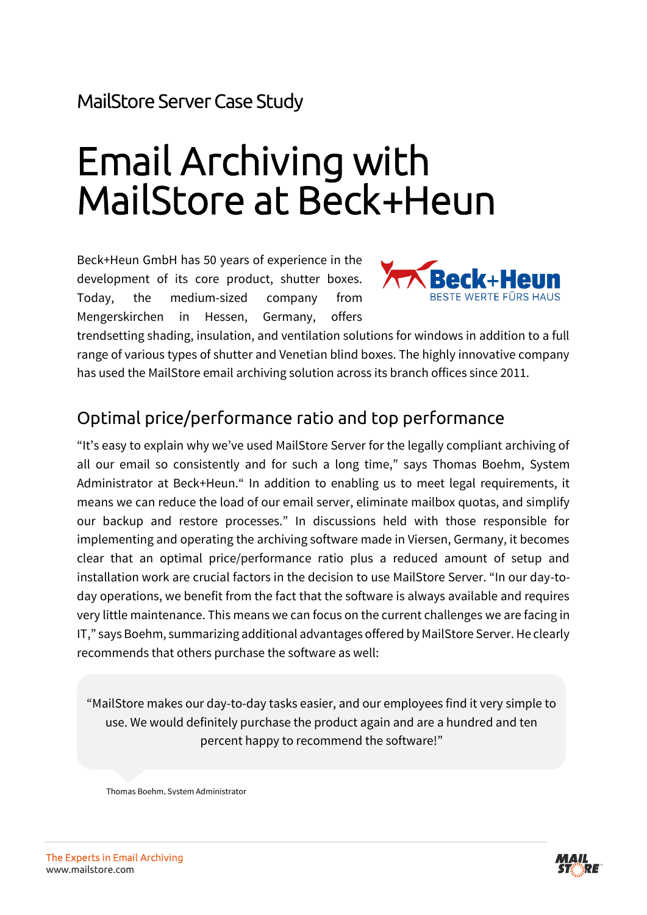MailStore Server Case Study

# Email Archiving with MailStore at Beck+Heun

Beck+Heun GmbH has 50 years of experience in the development of its core product, shutter boxes. Today, the medium-sized company from Mengerskirchen in Hessen, Germany, offers



trendsetting shading, insulation, and ventilation solutions for windows in addition to a full range of various types of shutter and Venetian blind boxes. The highly innovative company has used the MailStore email archiving solution across its branch offices since 2011.

#### Optimal price/performance ratio and top performance

"It's easy to explain why we've used MailStore Server for the legally compliant archiving of all our email so consistently and for such a long time," says Thomas Boehm, System Administrator at Beck+Heun." In addition to enabling us to meet legal requirements, it means we can reduce the load of our email server, eliminate mailbox quotas, and simplify our backup and restore processes." In discussions held with those responsible for implementing and operating the archiving software made in Viersen, Germany, it becomes clear that an optimal price/performance ratio plus a reduced amount of setup and installation work are crucial factors in the decision to use MailStore Server. "In our day-today operations, we benefit from the fact that the software is always available and requires very little maintenance. This means we can focus on the current challenges we are facing in IT," says Boehm, summarizing additional advantages offered by MailStore Server. He clearly recommends that others purchase the software as well:

"MailStore makes our day-to-day tasks easier, and our employees find it very simple to use. We would definitely purchase the product again and are a hundred and ten percent happy to recommend the software!"

Thomas Boehm, System Administrator

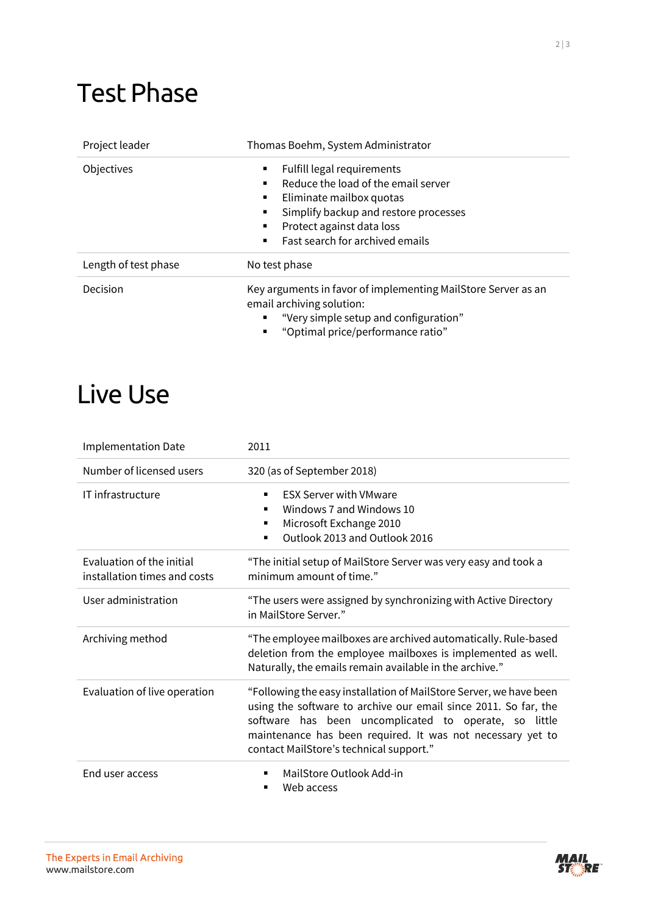### Test Phase

| Project leader       | Thomas Boehm, System Administrator                                                                                                                                                                                                      |
|----------------------|-----------------------------------------------------------------------------------------------------------------------------------------------------------------------------------------------------------------------------------------|
| Objectives           | Fulfill legal requirements<br>٠<br>Reduce the load of the email server<br>Eliminate mailbox quotas<br>٠<br>Simplify backup and restore processes<br>٠<br>Protect against data loss<br>Fast search for archived emails<br>$\blacksquare$ |
| Length of test phase | No test phase                                                                                                                                                                                                                           |
| Decision             | Key arguments in favor of implementing MailStore Server as an<br>email archiving solution:<br>"Very simple setup and configuration"<br>"Optimal price/performance ratio"<br>٠                                                           |

## Live Use

| <b>Implementation Date</b>                                | 2011                                                                                                                                                                                                                                                                                                    |
|-----------------------------------------------------------|---------------------------------------------------------------------------------------------------------------------------------------------------------------------------------------------------------------------------------------------------------------------------------------------------------|
| Number of licensed users                                  | 320 (as of September 2018)                                                                                                                                                                                                                                                                              |
| IT infrastructure                                         | <b>FSX Server with VMware</b><br>Windows 7 and Windows 10<br>Microsoft Exchange 2010<br>Outlook 2013 and Outlook 2016                                                                                                                                                                                   |
| Evaluation of the initial<br>installation times and costs | "The initial setup of MailStore Server was very easy and took a<br>minimum amount of time."                                                                                                                                                                                                             |
| User administration                                       | "The users were assigned by synchronizing with Active Directory<br>in MailStore Server."                                                                                                                                                                                                                |
| Archiving method                                          | "The employee mailboxes are archived automatically. Rule-based<br>deletion from the employee mailboxes is implemented as well.<br>Naturally, the emails remain available in the archive."                                                                                                               |
| Evaluation of live operation                              | "Following the easy installation of MailStore Server, we have been<br>using the software to archive our email since 2011. So far, the<br>software has been uncomplicated to operate, so little<br>maintenance has been required. It was not necessary yet to<br>contact MailStore's technical support." |
| End user access                                           | MailStore Outlook Add-in<br>Web access                                                                                                                                                                                                                                                                  |



**MAIL**<br>STARRE